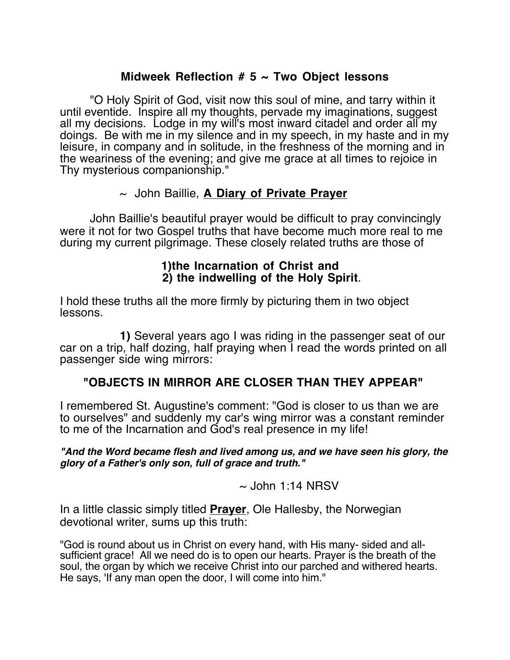## **Midweek Reflection # 5 ~ Two Object lessons**

"O Holy Spirit of God, visit now this soul of mine, and tarry within it until eventide. Inspire all my thoughts, pervade my imaginations, suggest all my decisions. Lodge in my will's most inward citadel and order all my doings. Be with me in my silence and in my speech, in my haste and in my leisure, in company and in solitude, in the freshness of the morning and in the weariness of the evening; and give me grace at all times to rejoice in Thy mysterious companionship."

### ~ John Baillie, **A Diary of Private Prayer**

John Baillie's beautiful prayer would be difficult to pray convincingly were it not for two Gospel truths that have become much more real to me during my current pilgrimage. These closely related truths are those of

# **1)the Incarnation of Christ and 2) the indwelling of the Holy Spirit**.

I hold these truths all the more firmly by picturing them in two object lessons.

**1)** Several years ago I was riding in the passenger seat of our car on a trip, half dozing, half praying when I read the words printed on all passenger side wing mirrors:

## **"OBJECTS IN MIRROR ARE CLOSER THAN THEY APPEAR"**

I remembered St. Augustine's comment: "God is closer to us than we are to ourselves" and suddenly my car's wing mirror was a constant reminder to me of the Incarnation and God's real presence in my life!

**"And the Word became flesh and lived among us, and we have seen his glory, the glory of a Father's only son, full of grace and truth."**

 $\sim$  John 1:14 NRSV

In a little classic simply titled **Prayer**, Ole Hallesby, the Norwegian devotional writer, sums up this truth:

"God is round about us in Christ on every hand, with His many- sided and allsufficient grace! All we need do is to open our hearts. Prayer is the breath of the soul, the organ by which we receive Christ into our parched and withered hearts. He says, 'If any man open the door, I will come into him."